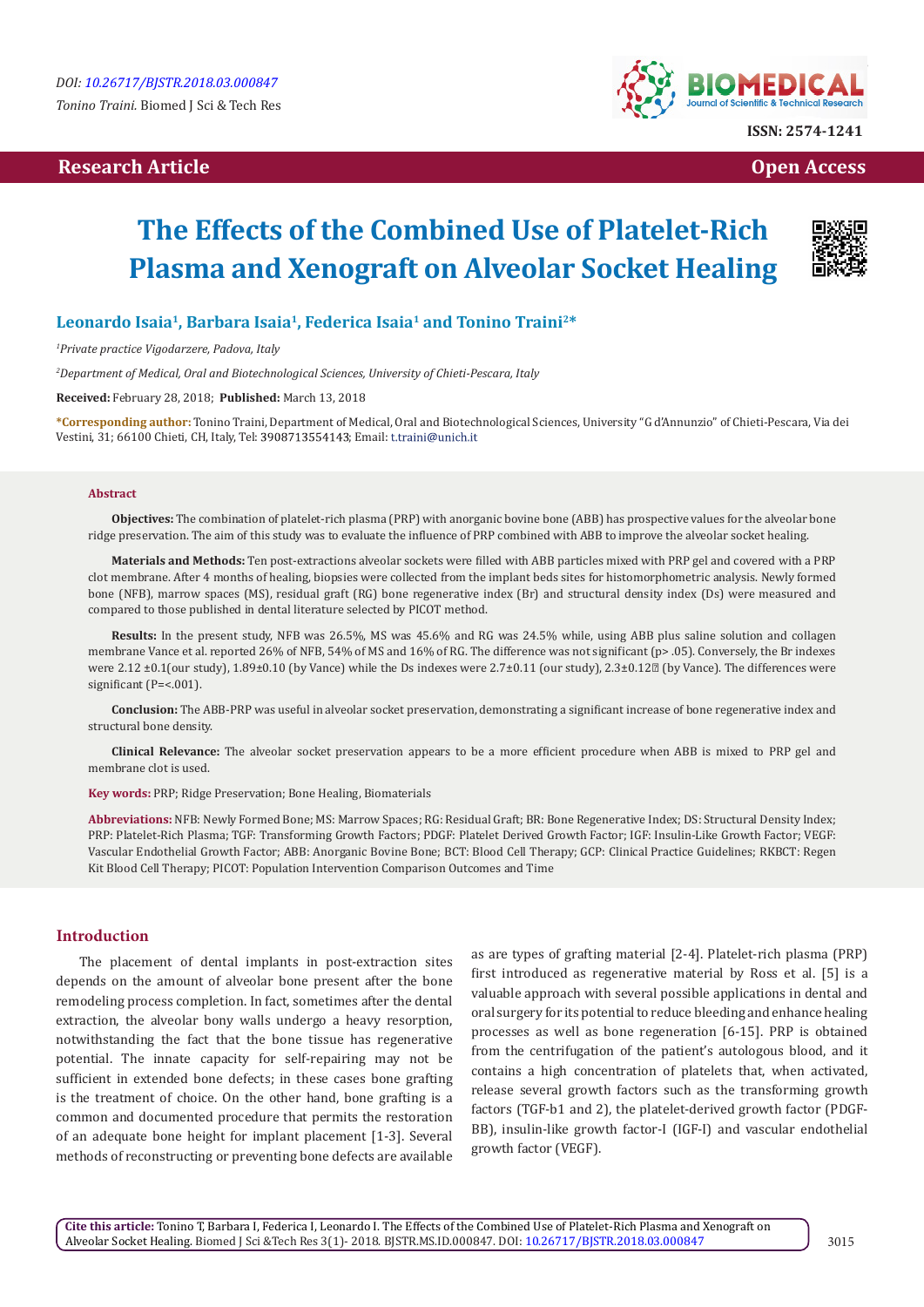# **Research Article Open Access Contract Article Open Access Open Access Open Access**



**ISSN: 2574-1241**

# **The Effects of the Combined Use of Platelet-Rich Plasma and Xenograft on Alveolar Socket Healing**



# **Leonardo Isaia1, Barbara Isaia1, Federica Isaia1 and Tonino Traini2\***

*1 Private practice Vigodarzere, Padova, Italy*

*2 Department of Medical, Oral and Biotechnological Sciences, University of Chieti-Pescara, Italy* 

**Received:** February 28, 2018; **Published:** March 13, 2018

**\*Corresponding author:** Tonino Traini, Department of Medical, Oral and Biotechnological Sciences, University "G d'Annunzio" of Chieti-Pescara, Via dei Vestini, 31; 66100 Chieti, CH, Italy, Tel: 3908713554143; Email: t.traini@unich.it

#### **Abstract**

**Objectives:** The combination of platelet-rich plasma (PRP) with anorganic bovine bone (ABB) has prospective values for the alveolar bone ridge preservation. The aim of this study was to evaluate the influence of PRP combined with ABB to improve the alveolar socket healing.

**Materials and Methods:** Ten post-extractions alveolar sockets were filled with ABB particles mixed with PRP gel and covered with a PRP clot membrane. After 4 months of healing, biopsies were collected from the implant beds sites for histomorphometric analysis. Newly formed bone (NFB), marrow spaces (MS), residual graft (RG) bone regenerative index (Br) and structural density index (Ds) were measured and compared to those published in dental literature selected by PICOT method.

**Results:** In the present study, NFB was 26.5%, MS was 45.6% and RG was 24.5% while, using ABB plus saline solution and collagen membrane Vance et al. reported 26% of NFB, 54% of MS and 16% of RG. The difference was not significant (p> .05). Conversely, the Br indexes were 2.12 ±0.1(our study), 1.89±0.10 (by Vance) while the Ds indexes were 2.7±0.11 (our study), 2.3±0.12 (by Vance). The differences were significant (P=<.001).

**Conclusion:** The ABB-PRP was useful in alveolar socket preservation, demonstrating a significant increase of bone regenerative index and structural bone density.

**Clinical Relevance:** The alveolar socket preservation appears to be a more efficient procedure when ABB is mixed to PRP gel and membrane clot is used.

**Key words:** PRP; Ridge Preservation; Bone Healing, Biomaterials

**Abbreviations:** NFB: Newly Formed Bone; MS: Marrow Spaces; RG: Residual Graft; BR: Bone Regenerative Index; DS: Structural Density Index; PRP: Platelet-Rich Plasma; TGF: Transforming Growth Factors; PDGF: Platelet Derived Growth Factor; IGF: Insulin-Like Growth Factor; VEGF: Vascular Endothelial Growth Factor; ABB: Anorganic Bovine Bone; BCT: Blood Cell Therapy; GCP: Clinical Practice Guidelines; RKBCT: Regen Kit Blood Cell Therapy; PICOT: Population Intervention Comparison Outcomes and Time

#### **Introduction**

The placement of dental implants in post-extraction sites depends on the amount of alveolar bone present after the bone remodeling process completion. In fact, sometimes after the dental extraction, the alveolar bony walls undergo a heavy resorption, notwithstanding the fact that the bone tissue has regenerative potential. The innate capacity for self-repairing may not be sufficient in extended bone defects; in these cases bone grafting is the treatment of choice. On the other hand, bone grafting is a common and documented procedure that permits the restoration of an adequate bone height for implant placement [1-3]. Several methods of reconstructing or preventing bone defects are available as are types of grafting material [2-4]. Platelet-rich plasma (PRP) first introduced as regenerative material by Ross et al. [5] is a valuable approach with several possible applications in dental and oral surgery for its potential to reduce bleeding and enhance healing processes as well as bone regeneration [6-15]. PRP is obtained from the centrifugation of the patient's autologous blood, and it contains a high concentration of platelets that, when activated, release several growth factors such as the transforming growth factors (TGF-b1 and 2), the platelet-derived growth factor (PDGF-BB), insulin-like growth factor-I (IGF-I) and vascular endothelial growth factor (VEGF).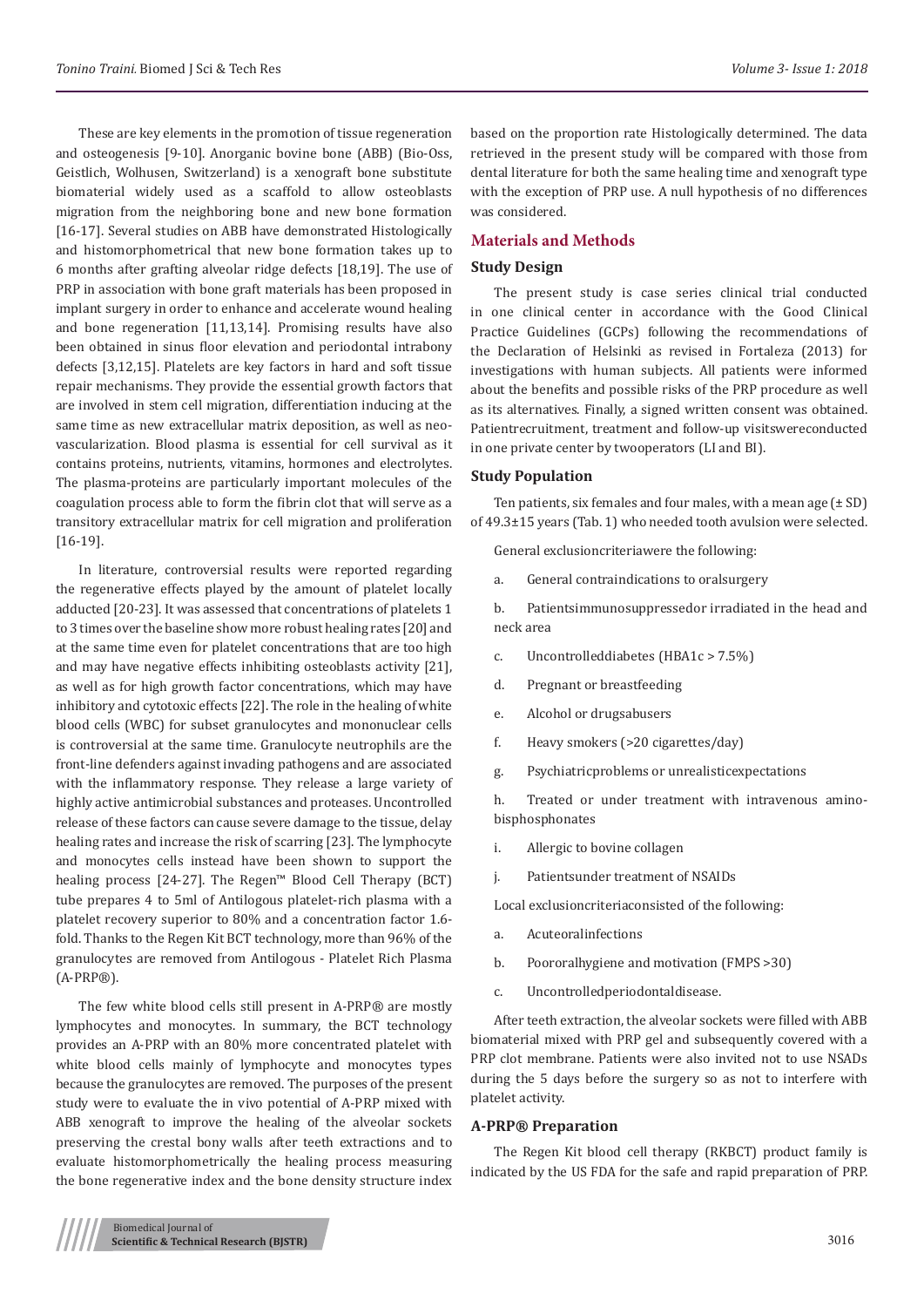These are key elements in the promotion of tissue regeneration and osteogenesis [9-10]. Anorganic bovine bone (ABB) (Bio-Oss, Geistlich, Wolhusen, Switzerland) is a xenograft bone substitute biomaterial widely used as a scaffold to allow osteoblasts migration from the neighboring bone and new bone formation [16-17]. Several studies on ABB have demonstrated Histologically and histomorphometrical that new bone formation takes up to 6 months after grafting alveolar ridge defects [18,19]. The use of PRP in association with bone graft materials has been proposed in implant surgery in order to enhance and accelerate wound healing and bone regeneration [11,13,14]. Promising results have also been obtained in sinus floor elevation and periodontal intrabony defects [3,12,15]. Platelets are key factors in hard and soft tissue repair mechanisms. They provide the essential growth factors that are involved in stem cell migration, differentiation inducing at the same time as new extracellular matrix deposition, as well as neovascularization. Blood plasma is essential for cell survival as it contains proteins, nutrients, vitamins, hormones and electrolytes. The plasma-proteins are particularly important molecules of the coagulation process able to form the fibrin clot that will serve as a transitory extracellular matrix for cell migration and proliferation [16-19].

In literature, controversial results were reported regarding the regenerative effects played by the amount of platelet locally adducted [20-23]. It was assessed that concentrations of platelets 1 to 3 times over the baseline show more robust healing rates [20] and at the same time even for platelet concentrations that are too high and may have negative effects inhibiting osteoblasts activity [21], as well as for high growth factor concentrations, which may have inhibitory and cytotoxic effects [22]. The role in the healing of white blood cells (WBC) for subset granulocytes and mononuclear cells is controversial at the same time. Granulocyte neutrophils are the front-line defenders against invading pathogens and are associated with the inflammatory response. They release a large variety of highly active antimicrobial substances and proteases. Uncontrolled release of these factors can cause severe damage to the tissue, delay healing rates and increase the risk of scarring [23]. The lymphocyte and monocytes cells instead have been shown to support the healing process [24-27]. The Regen™ Blood Cell Therapy (BCT) tube prepares 4 to 5ml of Antilogous platelet-rich plasma with a platelet recovery superior to 80% and a concentration factor 1.6 fold. Thanks to the Regen Kit BCT technology, more than 96% of the granulocytes are removed from Antilogous - Platelet Rich Plasma (A-PRP®).

The few white blood cells still present in A-PRP® are mostly lymphocytes and monocytes. In summary, the BCT technology provides an A-PRP with an 80% more concentrated platelet with white blood cells mainly of lymphocyte and monocytes types because the granulocytes are removed. The purposes of the present study were to evaluate the in vivo potential of A-PRP mixed with ABB xenograft to improve the healing of the alveolar sockets preserving the crestal bony walls after teeth extractions and to evaluate histomorphometrically the healing process measuring the bone regenerative index and the bone density structure index based on the proportion rate Histologically determined. The data retrieved in the present study will be compared with those from dental literature for both the same healing time and xenograft type with the exception of PRP use. A null hypothesis of no differences was considered.

#### **Materials and Methods**

## **Study Design**

The present study is case series clinical trial conducted in one clinical center in accordance with the Good Clinical Practice Guidelines (GCPs) following the recommendations of the Declaration of Helsinki as revised in Fortaleza (2013) for investigations with human subjects. All patients were informed about the benefits and possible risks of the PRP procedure as well as its alternatives. Finally, a signed written consent was obtained. Patientrecruitment, treatment and follow-up visitswereconducted in one private center by twooperators (LI and BI).

#### **Study Population**

Ten patients, six females and four males, with a mean age  $(\pm SD)$ of 49.3±15 years (Tab. 1) who needed tooth avulsion were selected.

General exclusioncriteriawere the following:

a. General contraindications to oralsurgery

b. Patientsimmunosuppressedor irradiated in the head and neck area

- c. Uncontrolleddiabetes (HBA1c > 7.5%)
- d. Pregnant or breastfeeding
- e. Alcohol or drugsabusers
- f. Heavy smokers (>20 cigarettes/day)
- g. Psychiatricproblems or unrealisticexpectations

h. Treated or under treatment with intravenous aminobisphosphonates

- i. Allergic to bovine collagen
- j. Patientsunder treatment of NSAIDs

Local exclusioncriteriaconsisted of the following:

- a. Acuteoralinfections
- b. Poororalhygiene and motivation (FMPS >30)
- c. Uncontrolledperiodontaldisease.

After teeth extraction, the alveolar sockets were filled with ABB biomaterial mixed with PRP gel and subsequently covered with a PRP clot membrane. Patients were also invited not to use NSADs during the 5 days before the surgery so as not to interfere with platelet activity.

#### **A-PRP® Preparation**

The Regen Kit blood cell therapy (RKBCT) product family is indicated by the US FDA for the safe and rapid preparation of PRP.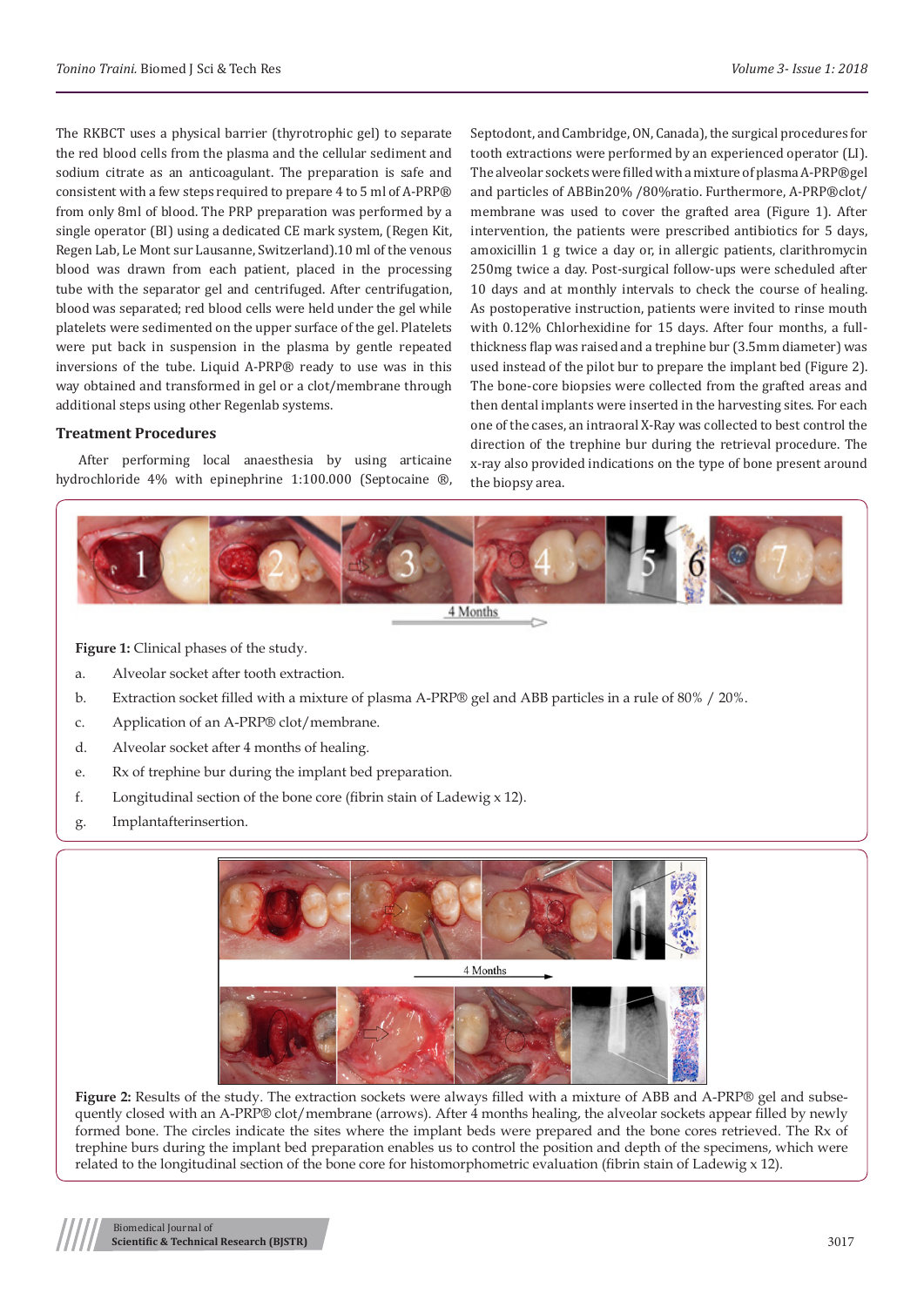The RKBCT uses a physical barrier (thyrotrophic gel) to separate the red blood cells from the plasma and the cellular sediment and sodium citrate as an anticoagulant. The preparation is safe and consistent with a few steps required to prepare 4 to 5 ml of A-PRP® from only 8ml of blood. The PRP preparation was performed by a single operator (BI) using a dedicated CE mark system, (Regen Kit, Regen Lab, Le Mont sur Lausanne, Switzerland).10 ml of the venous blood was drawn from each patient, placed in the processing tube with the separator gel and centrifuged. After centrifugation, blood was separated; red blood cells were held under the gel while platelets were sedimented on the upper surface of the gel. Platelets were put back in suspension in the plasma by gentle repeated inversions of the tube. Liquid A-PRP® ready to use was in this way obtained and transformed in gel or a clot/membrane through additional steps using other Regenlab systems.

## **Treatment Procedures**

After performing local anaesthesia by using articaine hydrochloride 4% with epinephrine 1:100.000 (Septocaine ®,

Septodont, and Cambridge, ON, Canada), the surgical procedures for tooth extractions were performed by an experienced operator (LI). The alveolar sockets were filled with a mixture of plasma A-PRP®gel and particles of ABBin20% /80%ratio. Furthermore, A-PRP®clot/ membrane was used to cover the grafted area (Figure 1). After intervention, the patients were prescribed antibiotics for 5 days, amoxicillin 1 g twice a day or, in allergic patients, clarithromycin 250mg twice a day. Post-surgical follow-ups were scheduled after 10 days and at monthly intervals to check the course of healing. As postoperative instruction, patients were invited to rinse mouth with 0.12% Chlorhexidine for 15 days. After four months, a fullthickness flap was raised and a trephine bur (3.5mm diameter) was used instead of the pilot bur to prepare the implant bed (Figure 2). The bone-core biopsies were collected from the grafted areas and then dental implants were inserted in the harvesting sites. For each one of the cases, an intraoral X-Ray was collected to best control the direction of the trephine bur during the retrieval procedure. The x-ray also provided indications on the type of bone present around the biopsy area.



4 Months

Figure 1: Clinical phases of the study.

- a. Alveolar socket after tooth extraction.
- b. Extraction socket filled with a mixture of plasma A-PRP® gel and ABB particles in a rule of 80% / 20%.
- c. Application of an A-PRP® clot/membrane.
- d. Alveolar socket after 4 months of healing.
- e. Rx of trephine bur during the implant bed preparation.
- f. Longitudinal section of the bone core (fibrin stain of Ladewig  $x$  12).
- g. Implantafterinsertion.



**Figure 2:** Results of the study. The extraction sockets were always filled with a mixture of ABB and A-PRP® gel and subsequently closed with an A-PRP® clot/membrane (arrows). After 4 months healing, the alveolar sockets appear filled by newly formed bone. The circles indicate the sites where the implant beds were prepared and the bone cores retrieved. The Rx of trephine burs during the implant bed preparation enables us to control the position and depth of the specimens, which were related to the longitudinal section of the bone core for histomorphometric evaluation (fibrin stain of Ladewig x 12).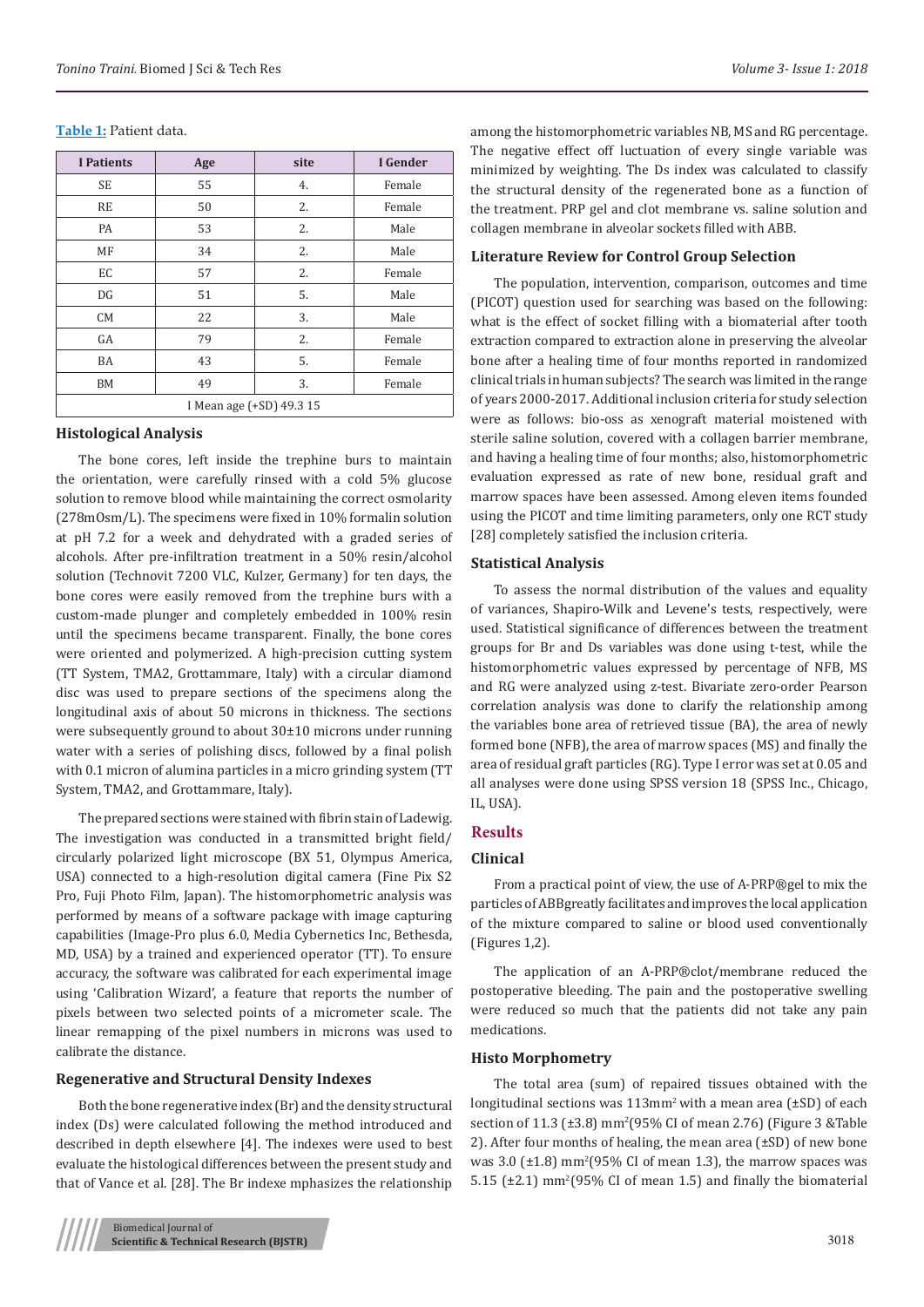#### **Table 1:** Patient data.

| <b>I</b> Patients        | Age | site | I Gender |  |  |  |
|--------------------------|-----|------|----------|--|--|--|
| <b>SE</b>                | 55  | 4.   | Female   |  |  |  |
| <b>RE</b>                | 50  | 2.   | Female   |  |  |  |
| PA                       | 53  | 2.   | Male     |  |  |  |
| MF                       | 34  | 2.   | Male     |  |  |  |
| EC                       | 57  | 2.   | Female   |  |  |  |
| DG                       | 51  | 5.   | Male     |  |  |  |
| <b>CM</b>                | 22  | 3.   | Male     |  |  |  |
| GA                       | 79  | 2.   | Female   |  |  |  |
| BA                       | 43  | 5.   | Female   |  |  |  |
| <b>BM</b>                | 49  | 3.   | Female   |  |  |  |
| I Mean age (+SD) 49.3 15 |     |      |          |  |  |  |

## **Histological Analysis**

The bone cores, left inside the trephine burs to maintain the orientation, were carefully rinsed with a cold 5% glucose solution to remove blood while maintaining the correct osmolarity (278mOsm/L). The specimens were fixed in 10% formalin solution at pH 7.2 for a week and dehydrated with a graded series of alcohols. After pre-infiltration treatment in a 50% resin/alcohol solution (Technovit 7200 VLC, Kulzer, Germany) for ten days, the bone cores were easily removed from the trephine burs with a custom-made plunger and completely embedded in 100% resin until the specimens became transparent. Finally, the bone cores were oriented and polymerized. A high-precision cutting system (TT System, TMA2, Grottammare, Italy) with a circular diamond disc was used to prepare sections of the specimens along the longitudinal axis of about 50 microns in thickness. The sections were subsequently ground to about 30±10 microns under running water with a series of polishing discs, followed by a final polish with 0.1 micron of alumina particles in a micro grinding system (TT System, TMA2, and Grottammare, Italy).

The prepared sections were stained with fibrin stain of Ladewig. The investigation was conducted in a transmitted bright field/ circularly polarized light microscope (BX 51, Olympus America, USA) connected to a high-resolution digital camera (Fine Pix S2 Pro, Fuji Photo Film, Japan). The histomorphometric analysis was performed by means of a software package with image capturing capabilities (Image-Pro plus 6.0, Media Cybernetics Inc, Bethesda, MD, USA) by a trained and experienced operator (TT). To ensure accuracy, the software was calibrated for each experimental image using 'Calibration Wizard', a feature that reports the number of pixels between two selected points of a micrometer scale. The linear remapping of the pixel numbers in microns was used to calibrate the distance.

#### **Regenerative and Structural Density Indexes**

Both the bone regenerative index (Br) and the density structural index (Ds) were calculated following the method introduced and described in depth elsewhere [4]. The indexes were used to best evaluate the histological differences between the present study and that of Vance et al. [28]. The Br indexe mphasizes the relationship

among the histomorphometric variables NB, MS and RG percentage. The negative effect off luctuation of every single variable was minimized by weighting. The Ds index was calculated to classify the structural density of the regenerated bone as a function of the treatment. PRP gel and clot membrane vs. saline solution and collagen membrane in alveolar sockets filled with ABB.

#### **Literature Review for Control Group Selection**

The population, intervention, comparison, outcomes and time (PICOT) question used for searching was based on the following: what is the effect of socket filling with a biomaterial after tooth extraction compared to extraction alone in preserving the alveolar bone after a healing time of four months reported in randomized clinical trials in human subjects? The search was limited in the range of years 2000-2017. Additional inclusion criteria for study selection were as follows: bio-oss as xenograft material moistened with sterile saline solution, covered with a collagen barrier membrane, and having a healing time of four months; also, histomorphometric evaluation expressed as rate of new bone, residual graft and marrow spaces have been assessed. Among eleven items founded using the PICOT and time limiting parameters, only one RCT study [28] completely satisfied the inclusion criteria.

#### **Statistical Analysis**

To assess the normal distribution of the values and equality of variances, Shapiro-Wilk and Levene's tests, respectively, were used. Statistical significance of differences between the treatment groups for Br and Ds variables was done using t-test, while the histomorphometric values expressed by percentage of NFB, MS and RG were analyzed using z-test. Bivariate zero-order Pearson correlation analysis was done to clarify the relationship among the variables bone area of retrieved tissue (BA), the area of newly formed bone (NFB), the area of marrow spaces (MS) and finally the area of residual graft particles (RG). Type I error was set at 0.05 and all analyses were done using SPSS version 18 (SPSS Inc., Chicago, IL, USA).

## **Results**

## **Clinical**

From a practical point of view, the use of A-PRP®gel to mix the particles of ABBgreatly facilitates and improves the local application of the mixture compared to saline or blood used conventionally (Figures 1,2).

The application of an A-PRP®clot/membrane reduced the postoperative bleeding. The pain and the postoperative swelling were reduced so much that the patients did not take any pain medications.

#### **Histo Morphometry**

The total area (sum) of repaired tissues obtained with the longitudinal sections was  $113$ mm<sup>2</sup> with a mean area ( $\pm$ SD) of each section of 11.3 (±3.8) mm<sup>2</sup>(95% CI of mean 2.76) (Figure 3 &Table 2). After four months of healing, the mean area (±SD) of new bone was  $3.0$  ( $\pm 1.8$ ) mm<sup>2</sup>(95% CI of mean 1.3), the marrow spaces was  $5.15$  ( $\pm 2.1$ ) mm<sup>2</sup>(95% CI of mean 1.5) and finally the biomaterial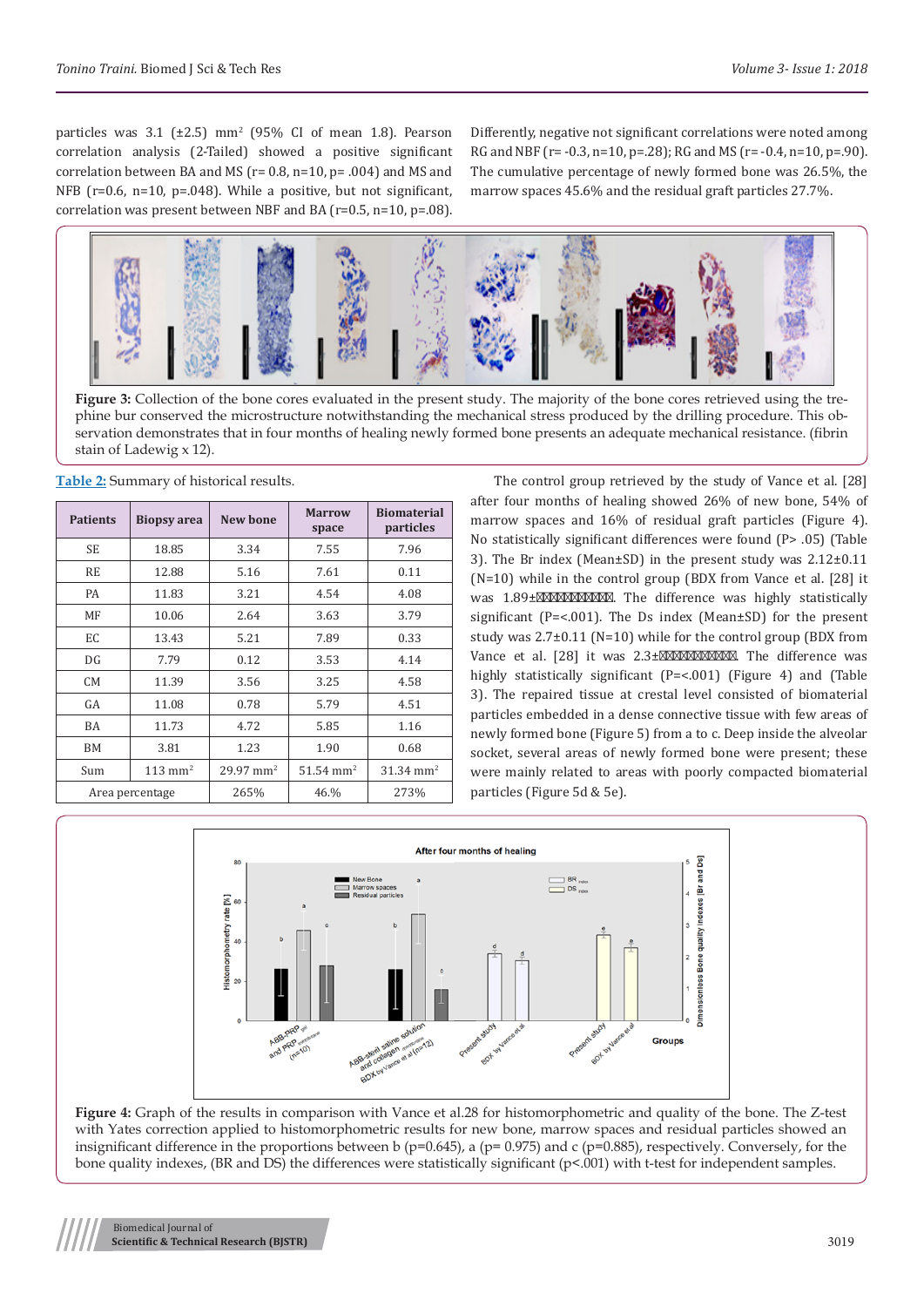particles was  $3.1$  ( $\pm 2.5$ ) mm<sup>2</sup> (95% CI of mean 1.8). Pearson correlation analysis (2-Tailed) showed a positive significant correlation between BA and MS ( $r= 0.8$ ,  $n=10$ ,  $p=.004$ ) and MS and NFB (r=0.6, n=10, p=.048). While a positive, but not significant, correlation was present between NBF and BA (r=0.5, n=10, p=.08).

Differently, negative not significant correlations were noted among RG and NBF ( $r = -0.3$ ,  $n=10$ ,  $p = .28$ ); RG and MS ( $r = -0.4$ ,  $n=10$ ,  $p = .90$ ). The cumulative percentage of newly formed bone was 26.5%, the marrow spaces 45.6% and the residual graft particles 27.7%.



**Figure 3:** Collection of the bone cores evaluated in the present study. The majority of the bone cores retrieved using the trephine bur conserved the microstructure notwithstanding the mechanical stress produced by the drilling procedure. This observation demonstrates that in four months of healing newly formed bone presents an adequate mechanical resistance. (fibrin stain of Ladewig x 12).

**Table 2:** Summary of historical results.

| <b>Patients</b> | <b>Biopsy</b> area | New bone                | <b>Marrow</b><br>space | <b>Biomaterial</b><br>particles |  |
|-----------------|--------------------|-------------------------|------------------------|---------------------------------|--|
| <b>SE</b>       | 18.85              | 3.34                    | 7.55                   | 7.96                            |  |
| RE              | 12.88              | 5.16                    | 7.61                   | 0.11                            |  |
| PA              | 11.83              | 3.21                    | 4.54                   | 4.08                            |  |
| MF              | 10.06              | 2.64                    | 3.63                   | 3.79                            |  |
| EC              | 13.43              | 5.21                    | 7.89                   | 0.33                            |  |
| DG              | 7.79               | 0.12                    | 3.53                   | 4.14                            |  |
| <b>CM</b>       | 11.39              | 3.56                    | 3.25                   | 4.58                            |  |
| GA              | 11.08              | 0.78                    | 5.79                   | 4.51                            |  |
| BA              | 11.73              | 4.72                    | 5.85                   | 1.16                            |  |
| <b>BM</b>       | 3.81               | 1.23                    | 1.90                   | 0.68                            |  |
| Sum             | $113 \text{ mm}^2$ | $29.97$ mm <sup>2</sup> | $51.54 \text{ mm}^2$   | $31.34 \text{ mm}^2$            |  |
| Area percentage |                    | 265%                    | 46.%                   | 273%                            |  |

The control group retrieved by the study of Vance et al. [28] after four months of healing showed 26% of new bone, 54% of marrow spaces and 16% of residual graft particles (Figure 4). No statistically significant differences were found (P> .05) (Table 3). The Br index (Mean±SD) in the present study was 2.12±0.11 (N=10) while in the control group (BDX from Vance et al. [28] it was  $1.89\pm$  . The difference was highly statistically significant (P=<.001). The Ds index (Mean±SD) for the present study was 2.7±0.11 (N=10) while for the control group (BDX from Vance et al.  $[28]$  it was  $2.3\pm$  . The difference was highly statistically significant (P=<.001) (Figure 4) and (Table 3). The repaired tissue at crestal level consisted of biomaterial particles embedded in a dense connective tissue with few areas of newly formed bone (Figure 5) from a to c. Deep inside the alveolar socket, several areas of newly formed bone were present; these were mainly related to areas with poorly compacted biomaterial particles (Figure 5d & 5e).



**Figure 4:** Graph of the results in comparison with Vance et al.28 for histomorphometric and quality of the bone. The Z-test with Yates correction applied to histomorphometric results for new bone, marrow spaces and residual particles showed an insignificant difference in the proportions between b ( $p=0.645$ ), a ( $p=0.975$ ) and c ( $p=0.885$ ), respectively. Conversely, for the bone quality indexes, (BR and DS) the differences were statistically significant ( $p<001$ ) with t-test for independent samples.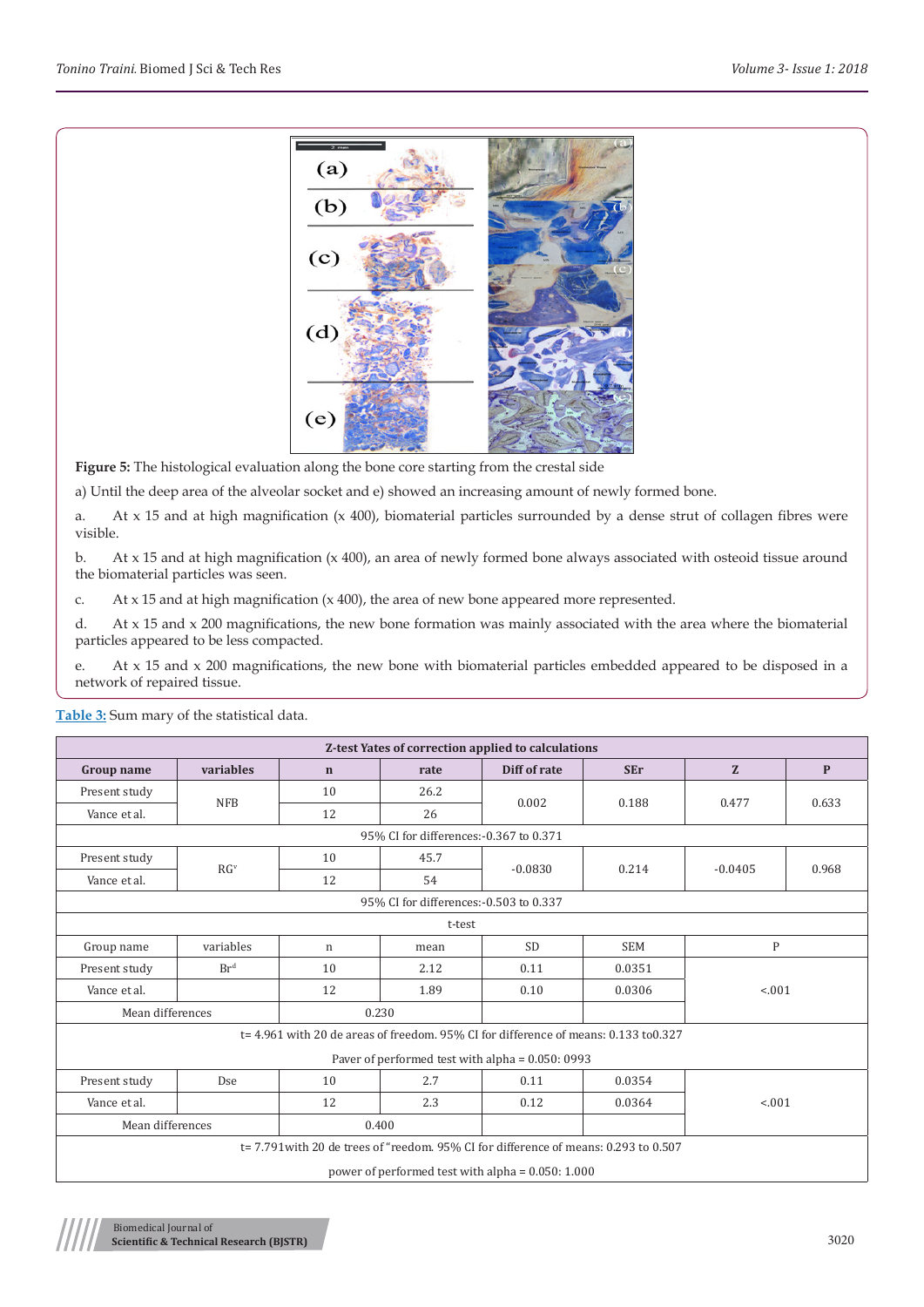

**Figure 5:** The histological evaluation along the bone core starting from the crestal side

a) Until the deep area of the alveolar socket and e) showed an increasing amount of newly formed bone.

a. At x 15 and at high magnification (x 400), biomaterial particles surrounded by a dense strut of collagen fibres were visible.

b. At x 15 and at high magnification (x 400), an area of newly formed bone always associated with osteoid tissue around the biomaterial particles was seen.

c. At x 15 and at high magnification (x 400), the area of new bone appeared more represented.

d. At x 15 and x 200 magnifications, the new bone formation was mainly associated with the area where the biomaterial particles appeared to be less compacted.

e. At x 15 and x 200 magnifications, the new bone with biomaterial particles embedded appeared to be disposed in a network of repaired tissue.

| Z-test Yates of correction applied to calculations                                   |                                                                                         |             |      |                                                  |            |              |              |  |  |  |
|--------------------------------------------------------------------------------------|-----------------------------------------------------------------------------------------|-------------|------|--------------------------------------------------|------------|--------------|--------------|--|--|--|
| <b>Group name</b>                                                                    | variables                                                                               | $\mathbf n$ | rate | Diff of rate                                     | <b>SEr</b> | Z            | $\mathbf{P}$ |  |  |  |
| Present study                                                                        | <b>NFB</b>                                                                              | 10          | 26.2 | 0.002                                            | 0.188      | 0.477        | 0.633        |  |  |  |
| Vance et al.                                                                         |                                                                                         | 12          | 26   |                                                  |            |              |              |  |  |  |
| 95% CI for differences: - 0.367 to 0.371                                             |                                                                                         |             |      |                                                  |            |              |              |  |  |  |
| Present study                                                                        | RG <sup>v</sup>                                                                         | 10          | 45.7 | $-0.0830$                                        | 0.214      | $-0.0405$    | 0.968        |  |  |  |
| Vance et al.                                                                         |                                                                                         | 12          | 54   |                                                  |            |              |              |  |  |  |
| 95% CI for differences:-0.503 to 0.337                                               |                                                                                         |             |      |                                                  |            |              |              |  |  |  |
|                                                                                      | t-test                                                                                  |             |      |                                                  |            |              |              |  |  |  |
| Group name                                                                           | variables                                                                               | $\mathbf n$ | mean | <b>SD</b>                                        | <b>SEM</b> | $\mathbf{P}$ |              |  |  |  |
| Present study                                                                        | Br <sup>d</sup>                                                                         | 10          | 2.12 | 0.11                                             | 0.0351     | < 0.01       |              |  |  |  |
| Vance et al.                                                                         |                                                                                         | 12          | 1.89 | 0.10                                             | 0.0306     |              |              |  |  |  |
| Mean differences                                                                     |                                                                                         | 0.230       |      |                                                  |            |              |              |  |  |  |
|                                                                                      | $t = 4.961$ with 20 de areas of freedom, 95% CI for difference of means: 0.133 to 0.327 |             |      |                                                  |            |              |              |  |  |  |
|                                                                                      |                                                                                         |             |      | Paver of performed test with alpha = 0.050: 0993 |            |              |              |  |  |  |
| Present study                                                                        | Dse                                                                                     | 10          | 2.7  | 0.11                                             | 0.0354     | < .001       |              |  |  |  |
| Vance et al.                                                                         |                                                                                         | 12          | 2.3  | 0.12                                             | 0.0364     |              |              |  |  |  |
|                                                                                      | Mean differences<br>0.400                                                               |             |      |                                                  |            |              |              |  |  |  |
| t= 7.791 with 20 de trees of "reedom. 95% CI for difference of means: 0.293 to 0.507 |                                                                                         |             |      |                                                  |            |              |              |  |  |  |
| power of performed test with alpha = $0.050:1.000$                                   |                                                                                         |             |      |                                                  |            |              |              |  |  |  |

**Table 3:** Sum mary of the statistical data.

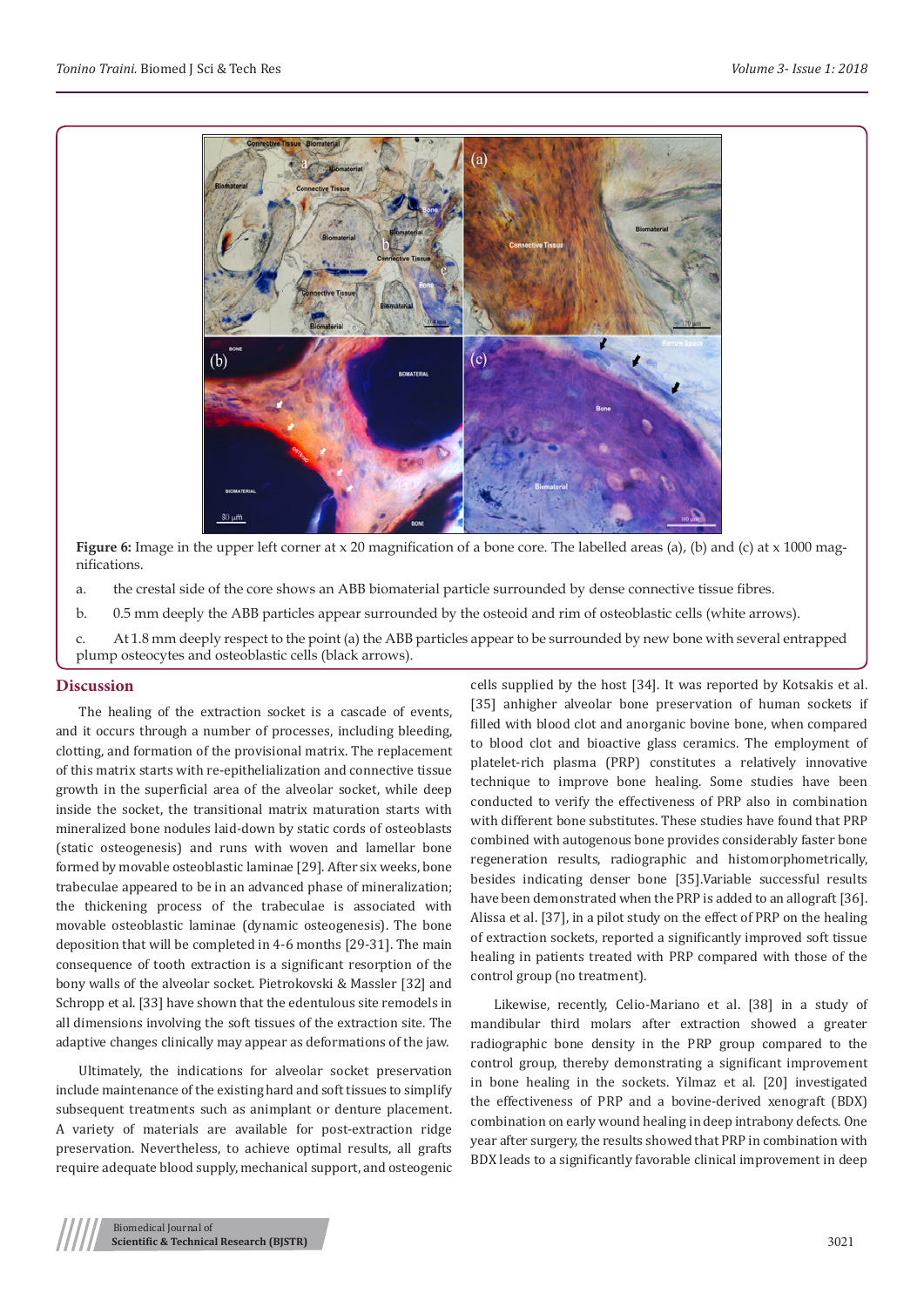

**Figure 6:** Image in the upper left corner at x 20 magnification of a bone core. The labelled areas (a), (b) and (c) at x 1000 magnifications.

- a. the crestal side of the core shows an ABB biomaterial particle surrounded by dense connective tissue fibres.
- b. 0.5 mm deeply the ABB particles appear surrounded by the osteoid and rim of osteoblastic cells (white arrows).

c. At 1.8 mm deeply respect to the point (a) the ABB particles appear to be surrounded by new bone with several entrapped plump osteocytes and osteoblastic cells (black arrows).

#### **Discussion**

The healing of the extraction socket is a cascade of events, and it occurs through a number of processes, including bleeding, clotting, and formation of the provisional matrix. The replacement of this matrix starts with re-epithelialization and connective tissue growth in the superficial area of the alveolar socket, while deep inside the socket, the transitional matrix maturation starts with mineralized bone nodules laid-down by static cords of osteoblasts (static osteogenesis) and runs with woven and lamellar bone formed by movable osteoblastic laminae [29]. After six weeks, bone trabeculae appeared to be in an advanced phase of mineralization; the thickening process of the trabeculae is associated with movable osteoblastic laminae (dynamic osteogenesis). The bone deposition that will be completed in 4-6 months [29-31]. The main consequence of tooth extraction is a significant resorption of the bony walls of the alveolar socket. Pietrokovski & Massler [32] and Schropp et al. [33] have shown that the edentulous site remodels in all dimensions involving the soft tissues of the extraction site. The adaptive changes clinically may appear as deformations of the jaw.

Ultimately, the indications for alveolar socket preservation include maintenance of the existing hard and soft tissues to simplify subsequent treatments such as animplant or denture placement. A variety of materials are available for post-extraction ridge preservation. Nevertheless, to achieve optimal results, all grafts require adequate blood supply, mechanical support, and osteogenic cells supplied by the host [34]. It was reported by Kotsakis et al. [35] anhigher alveolar bone preservation of human sockets if filled with blood clot and anorganic bovine bone, when compared to blood clot and bioactive glass ceramics. The employment of platelet-rich plasma (PRP) constitutes a relatively innovative technique to improve bone healing. Some studies have been conducted to verify the effectiveness of PRP also in combination with different bone substitutes. These studies have found that PRP combined with autogenous bone provides considerably faster bone regeneration results, radiographic and histomorphometrically, besides indicating denser bone [35].Variable successful results have been demonstrated when the PRP is added to an allograft [36]. Alissa et al. [37], in a pilot study on the effect of PRP on the healing of extraction sockets, reported a significantly improved soft tissue healing in patients treated with PRP compared with those of the control group (no treatment).

Likewise, recently, Celio-Mariano et al. [38] in a study of mandibular third molars after extraction showed a greater radiographic bone density in the PRP group compared to the control group, thereby demonstrating a significant improvement in bone healing in the sockets. Yilmaz et al. [20] investigated the effectiveness of PRP and a bovine-derived xenograft (BDX) combination on early wound healing in deep intrabony defects. One year after surgery, the results showed that PRP in combination with BDX leads to a significantly favorable clinical improvement in deep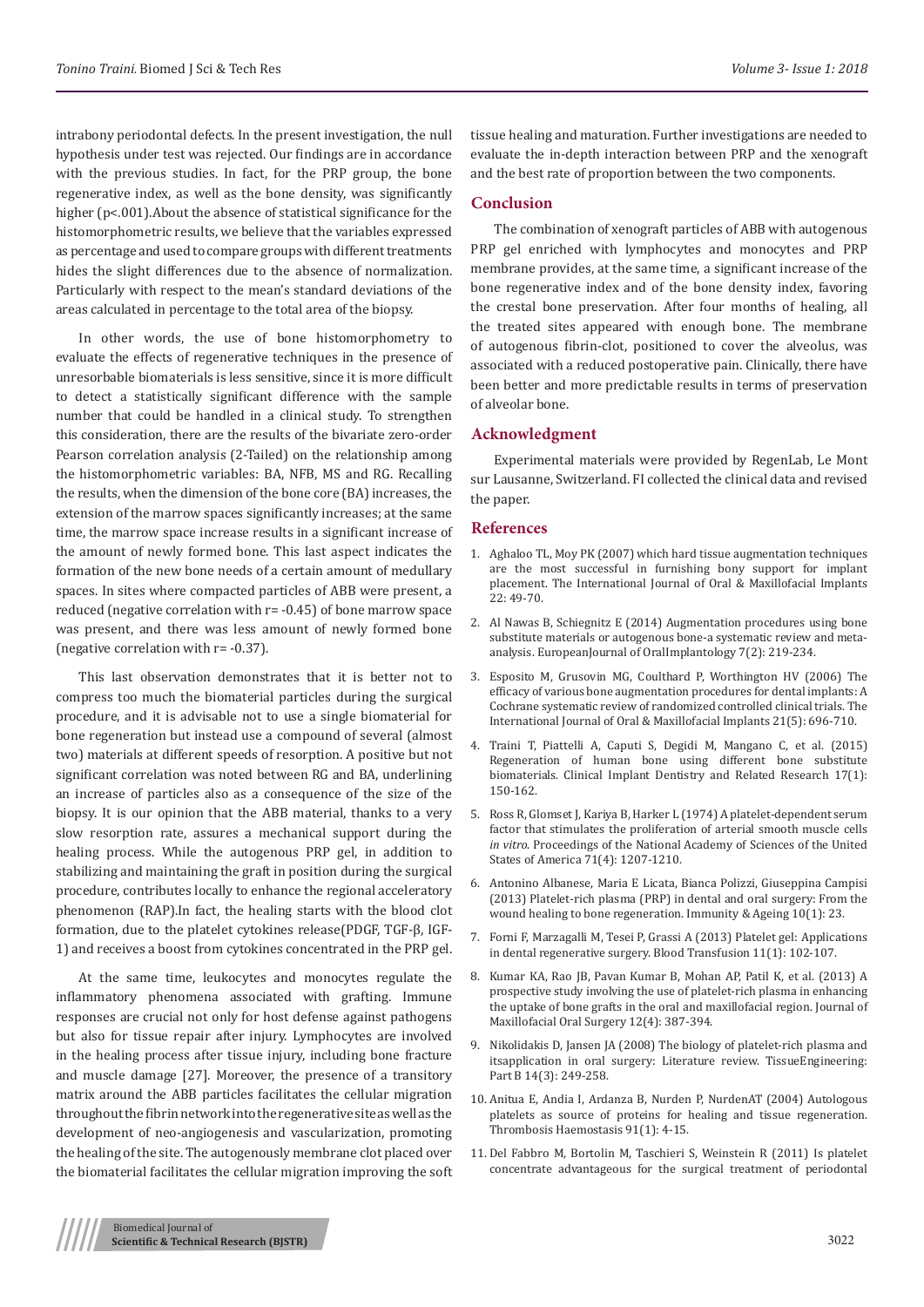intrabony periodontal defects. In the present investigation, the null hypothesis under test was rejected. Our findings are in accordance with the previous studies. In fact, for the PRP group, the bone regenerative index, as well as the bone density, was significantly higher (p<.001).About the absence of statistical significance for the histomorphometric results, we believe that the variables expressed as percentage and used to compare groups with different treatments hides the slight differences due to the absence of normalization. Particularly with respect to the mean's standard deviations of the areas calculated in percentage to the total area of the biopsy.

In other words, the use of bone histomorphometry to evaluate the effects of regenerative techniques in the presence of unresorbable biomaterials is less sensitive, since it is more difficult to detect a statistically significant difference with the sample number that could be handled in a clinical study. To strengthen this consideration, there are the results of the bivariate zero-order Pearson correlation analysis (2-Tailed) on the relationship among the histomorphometric variables: BA, NFB, MS and RG. Recalling the results, when the dimension of the bone core (BA) increases, the extension of the marrow spaces significantly increases; at the same time, the marrow space increase results in a significant increase of the amount of newly formed bone. This last aspect indicates the formation of the new bone needs of a certain amount of medullary spaces. In sites where compacted particles of ABB were present, a reduced (negative correlation with r= -0.45) of bone marrow space was present, and there was less amount of newly formed bone (negative correlation with r= -0.37).

This last observation demonstrates that it is better not to compress too much the biomaterial particles during the surgical procedure, and it is advisable not to use a single biomaterial for bone regeneration but instead use a compound of several (almost two) materials at different speeds of resorption. A positive but not significant correlation was noted between RG and BA, underlining an increase of particles also as a consequence of the size of the biopsy. It is our opinion that the ABB material, thanks to a very slow resorption rate, assures a mechanical support during the healing process. While the autogenous PRP gel, in addition to stabilizing and maintaining the graft in position during the surgical procedure, contributes locally to enhance the regional acceleratory phenomenon (RAP).In fact, the healing starts with the blood clot formation, due to the platelet cytokines release(PDGF, TGF-β, IGF-1) and receives a boost from cytokines concentrated in the PRP gel.

At the same time, leukocytes and monocytes regulate the inflammatory phenomena associated with grafting. Immune responses are crucial not only for host defense against pathogens but also for tissue repair after injury. Lymphocytes are involved in the healing process after tissue injury, including bone fracture and muscle damage [27]. Moreover, the presence of a transitory matrix around the ABB particles facilitates the cellular migration throughout the fibrin network into the regenerative site as well as the development of neo-angiogenesis and vascularization, promoting the healing of the site. The autogenously membrane clot placed over the biomaterial facilitates the cellular migration improving the soft

tissue healing and maturation. Further investigations are needed to evaluate the in-depth interaction between PRP and the xenograft and the best rate of proportion between the two components.

#### **Conclusion**

The combination of xenograft particles of ABB with autogenous PRP gel enriched with lymphocytes and monocytes and PRP membrane provides, at the same time, a significant increase of the bone regenerative index and of the bone density index, favoring the crestal bone preservation. After four months of healing, all the treated sites appeared with enough bone. The membrane of autogenous fibrin-clot, positioned to cover the alveolus, was associated with a reduced postoperative pain. Clinically, there have been better and more predictable results in terms of preservation of alveolar bone.

#### **Acknowledgment**

Experimental materials were provided by RegenLab, Le Mont sur Lausanne, Switzerland. FI collected the clinical data and revised the paper.

#### **References**

- 1. [Aghaloo TL, Moy PK \(2007\) which hard tissue augmentation techniques](https://www.ncbi.nlm.nih.gov/pubmed/18437791) [are the most successful in furnishing bony support for implant](https://www.ncbi.nlm.nih.gov/pubmed/18437791) [placement. The International Journal of](https://www.ncbi.nlm.nih.gov/pubmed/18437791) Oral & Maxillofacial Implants  $22.49 - 70$
- 2. [Al Nawas B, Schiegnitz E \(2014\) Augmentation procedures using bone](https://www.ncbi.nlm.nih.gov/pubmed/24977257) [substitute materials or autogenous bone-a systematic review and meta](https://www.ncbi.nlm.nih.gov/pubmed/24977257)[analysis. EuropeanJournal of OralImplantology 7\(2\): 219-234.](https://www.ncbi.nlm.nih.gov/pubmed/24977257)
- 3. [Esposito M, Grusovin MG, Coulthard P, Worthington HV \(2006\) The](https://www.ncbi.nlm.nih.gov/pubmed/17066630) [efficacy of various bone augmentation procedures for dental implants: A](https://www.ncbi.nlm.nih.gov/pubmed/17066630) [Cochrane systematic review of randomized controlled clinical trials. The](https://www.ncbi.nlm.nih.gov/pubmed/17066630) International Journal of Oral & Maxillofacial [Implants 21\(5\): 696-710.](https://www.ncbi.nlm.nih.gov/pubmed/17066630)
- 4. [Traini T, Piattelli A, Caputi S, Degidi M, Mangano C, et al. \(2015\)](https://www.ncbi.nlm.nih.gov/pubmed/23682753) [Regeneration of human bone using different bone substitute](https://www.ncbi.nlm.nih.gov/pubmed/23682753) [biomaterials. Clinical Implant Dentistry and Related Research 17\(1\):](https://www.ncbi.nlm.nih.gov/pubmed/23682753) [150-162.](https://www.ncbi.nlm.nih.gov/pubmed/23682753)
- 5. [Ross R, Glomset J, Kariya B, Harker L \(1974\) A platelet-dependent serum](https://www.ncbi.nlm.nih.gov/pubmed/4208546/) [factor that stimulates the proliferation of arterial smooth muscle cells](https://www.ncbi.nlm.nih.gov/pubmed/4208546/) *in vitro*[. Proceedings of the National Academy of Sciences of the United](https://www.ncbi.nlm.nih.gov/pubmed/4208546/) [States of America 71\(4\): 1207-1210.](https://www.ncbi.nlm.nih.gov/pubmed/4208546/)
- 6. [Antonino Albanese, Maria E Licata, Bianca Polizzi, Giuseppina Campisi](https://www.ncbi.nlm.nih.gov/pubmed/23763951/) [\(2013\) Platelet-rich plasma \(PRP\) in dental and oral surgery: From the](https://www.ncbi.nlm.nih.gov/pubmed/23763951/) [wound healing to bone regeneration. Immunity & Ageing 10\(1\): 23.](https://www.ncbi.nlm.nih.gov/pubmed/23763951/)
- 7. [Forni F, Marzagalli M, Tesei P, Grassi A \(2013\) Platelet gel: Applications](https://www.ncbi.nlm.nih.gov/pubmed/22790266) [in dental regenerative surgery. Blood Transfusion 11\(1\): 102-107.](https://www.ncbi.nlm.nih.gov/pubmed/22790266)
- 8. [Kumar KA, Rao JB, Pavan Kumar B, Mohan AP, Patil K, et al. \(2013\) A](https://www.ncbi.nlm.nih.gov/pubmed/24431876) [prospective study involving the use of platelet-rich plasma in enhancing](https://www.ncbi.nlm.nih.gov/pubmed/24431876) [the uptake of bone grafts in the oral and maxillofacial region. Journal of](https://www.ncbi.nlm.nih.gov/pubmed/24431876) [Maxillofacial Oral Surgery 12\(4\): 387-394.](https://www.ncbi.nlm.nih.gov/pubmed/24431876)
- 9. [Nikolidakis D, Jansen JA \(2008\) The biology of platelet-rich plasma and](https://www.ncbi.nlm.nih.gov/pubmed/18601587) [itsapplication in oral surgery: Literature review. TissueEngineering:](https://www.ncbi.nlm.nih.gov/pubmed/18601587) [Part B 14\(3\): 249-258.](https://www.ncbi.nlm.nih.gov/pubmed/18601587)
- 10. [Anitua E, Andia I, Ardanza B, Nurden P, NurdenAT \(2004\) Autologous](https://www.ncbi.nlm.nih.gov/pubmed/14691563) [platelets as source of proteins for healing and tissue regeneration.](https://www.ncbi.nlm.nih.gov/pubmed/14691563) [Thrombosis Haemostasis 91\(1\): 4-15.](https://www.ncbi.nlm.nih.gov/pubmed/14691563)
- 11. [Del Fabbro M, Bortolin M, Taschieri S, Weinstein R \(2011\) Is platelet](https://www.ncbi.nlm.nih.gov/pubmed/21189090) [concentrate advantageous for the surgical treatment of periodontal](https://www.ncbi.nlm.nih.gov/pubmed/21189090)